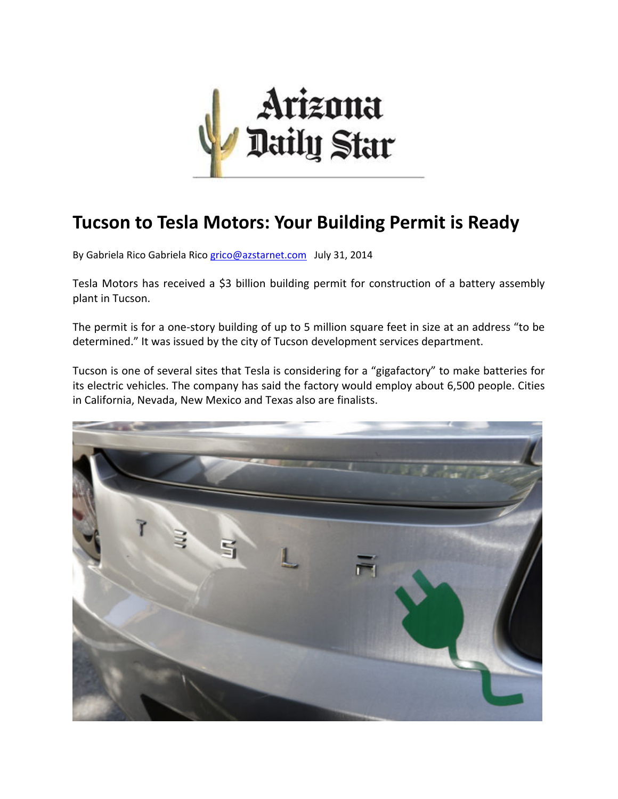

## **Tucson to Tesla Motors: Your Building Permit is Ready**

By Gabriela Rico Gabriela Rico grico@azstarnet.com July 31, 2014

Tesla Motors has received a \$3 billion building permit for construction of a battery assembly plant in Tucson.

The permit is for a one‐story building of up to 5 million square feet in size at an address "to be determined." It was issued by the city of Tucson development services department.

Tucson is one of several sites that Tesla is considering for a "gigafactory" to make batteries for its electric vehicles. The company has said the factory would employ about 6,500 people. Cities in California, Nevada, New Mexico and Texas also are finalists.

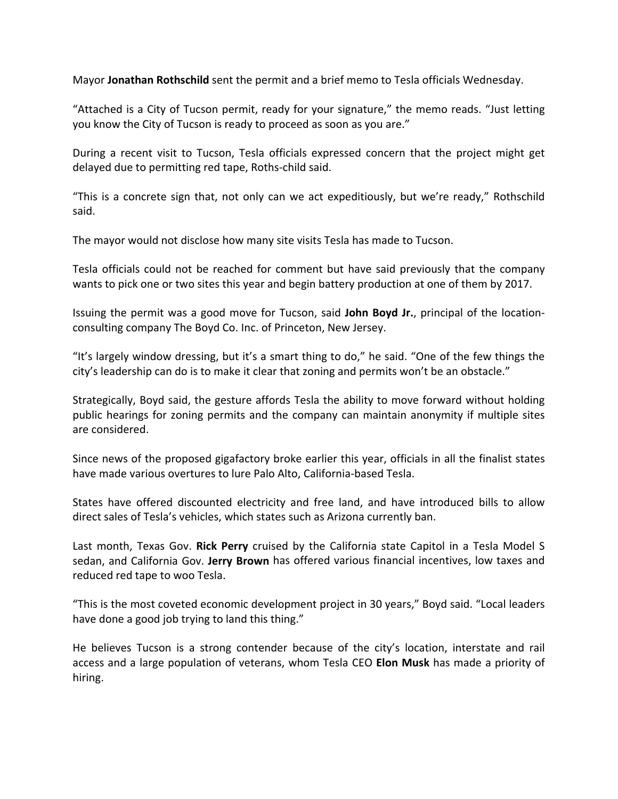Mayor **Jonathan Rothschild** sent the permit and a brief memo to Tesla officials Wednesday.

"Attached is a City of Tucson permit, ready for your signature," the memo reads. "Just letting you know the City of Tucson is ready to proceed as soon as you are."

During a recent visit to Tucson, Tesla officials expressed concern that the project might get delayed due to permitting red tape, Roths‐child said.

"This is a concrete sign that, not only can we act expeditiously, but we're ready," Rothschild said.

The mayor would not disclose how many site visits Tesla has made to Tucson.

Tesla officials could not be reached for comment but have said previously that the company wants to pick one or two sites this year and begin battery production at one of them by 2017.

Issuing the permit was a good move for Tucson, said **John Boyd Jr.**, principal of the location‐ consulting company The Boyd Co. Inc. of Princeton, New Jersey.

"It's largely window dressing, but it's a smart thing to do," he said. "One of the few things the city's leadership can do is to make it clear that zoning and permits won't be an obstacle."

Strategically, Boyd said, the gesture affords Tesla the ability to move forward without holding public hearings for zoning permits and the company can maintain anonymity if multiple sites are considered.

Since news of the proposed gigafactory broke earlier this year, officials in all the finalist states have made various overtures to lure Palo Alto, California‐based Tesla.

States have offered discounted electricity and free land, and have introduced bills to allow direct sales of Tesla's vehicles, which states such as Arizona currently ban.

Last month, Texas Gov. **Rick Perry** cruised by the California state Capitol in a Tesla Model S sedan, and California Gov. **Jerry Brown** has offered various financial incentives, low taxes and reduced red tape to woo Tesla.

"This is the most coveted economic development project in 30 years," Boyd said. "Local leaders have done a good job trying to land this thing."

He believes Tucson is a strong contender because of the city's location, interstate and rail access and a large population of veterans, whom Tesla CEO **Elon Musk** has made a priority of hiring.